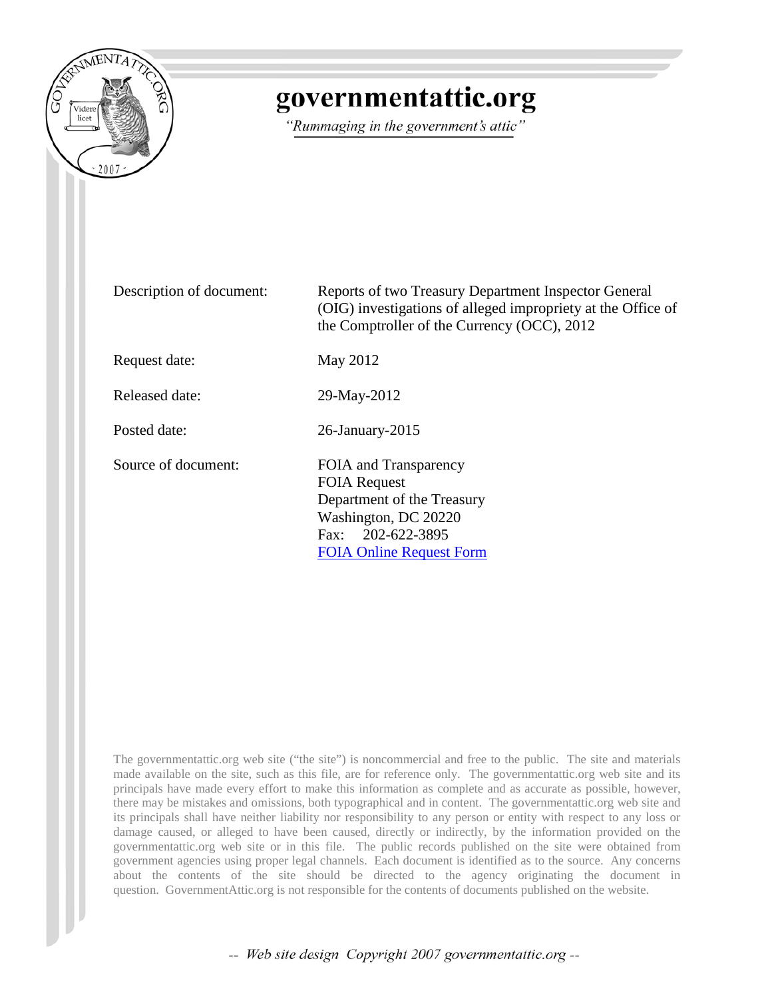

# governmentattic.org

"Rummaging in the government's attic"

| Description of document: | Reports of two Treasury Department Inspector General<br>(OIG) investigations of alleged impropriety at the Office of<br>the Comptroller of the Currency (OCC), 2012 |
|--------------------------|---------------------------------------------------------------------------------------------------------------------------------------------------------------------|
| Request date:            | May 2012                                                                                                                                                            |
| Released date:           | 29-May-2012                                                                                                                                                         |
| Posted date:             | $26$ -January- $2015$                                                                                                                                               |
| Source of document:      | FOIA and Transparency<br><b>FOIA Request</b><br>Department of the Treasury<br>Washington, DC 20220<br>Fax: 202-622-3895<br><b>FOIA Online Request Form</b>          |

The governmentattic.org web site ("the site") is noncommercial and free to the public. The site and materials made available on the site, such as this file, are for reference only. The governmentattic.org web site and its principals have made every effort to make this information as complete and as accurate as possible, however, there may be mistakes and omissions, both typographical and in content. The governmentattic.org web site and its principals shall have neither liability nor responsibility to any person or entity with respect to any loss or damage caused, or alleged to have been caused, directly or indirectly, by the information provided on the governmentattic.org web site or in this file. The public records published on the site were obtained from government agencies using proper legal channels. Each document is identified as to the source. Any concerns about the contents of the site should be directed to the agency originating the document in question. GovernmentAttic.org is not responsible for the contents of documents published on the website.

-- Web site design Copyright 2007 governmentattic.org --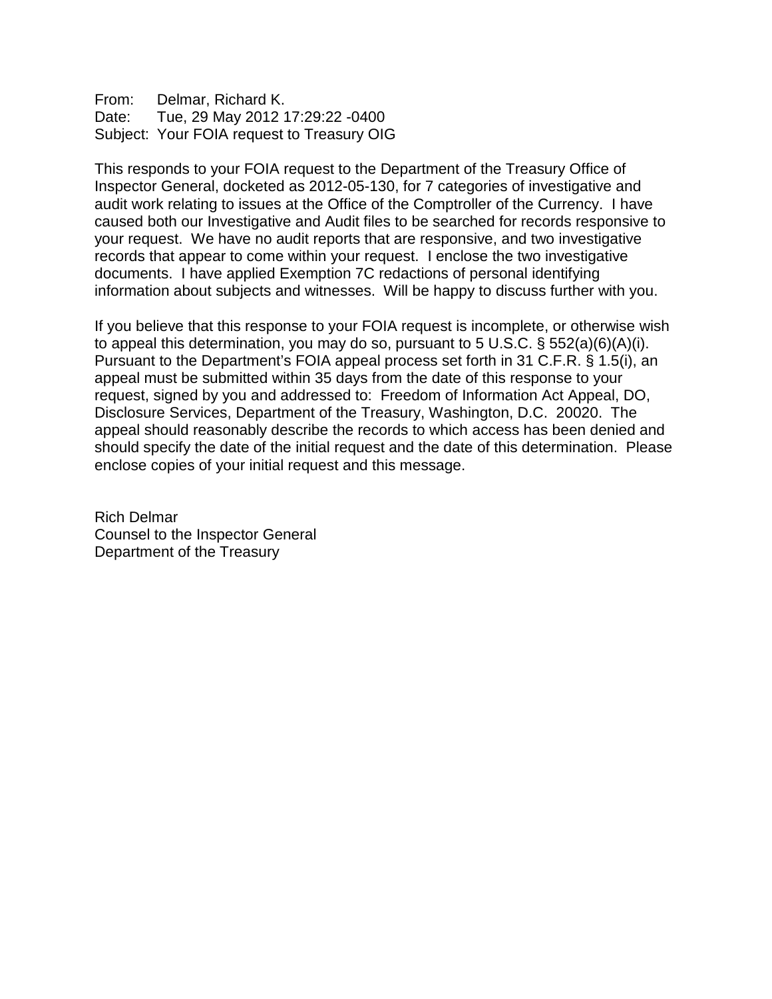From: Delmar, Richard K. Date: Tue, 29 May 2012 17:29:22 -0400 Subject: Your FOIA request to Treasury OIG

This responds to your FOIA request to the Department of the Treasury Office of Inspector General, docketed as 2012-05-130, for 7 categories of investigative and audit work relating to issues at the Office of the Comptroller of the Currency. I have caused both our Investigative and Audit files to be searched for records responsive to your request. We have no audit reports that are responsive, and two investigative records that appear to come within your request. I enclose the two investigative documents. I have applied Exemption 7C redactions of personal identifying information about subjects and witnesses. Will be happy to discuss further with you.

If you believe that this response to your FOIA request is incomplete, or otherwise wish to appeal this determination, you may do so, pursuant to 5 U.S.C. § 552(a)(6)(A)(i). Pursuant to the Department's FOIA appeal process set forth in 31 C.F.R. § 1.5(i), an appeal must be submitted within 35 days from the date of this response to your request, signed by you and addressed to: Freedom of Information Act Appeal, DO, Disclosure Services, Department of the Treasury, Washington, D.C. 20020. The appeal should reasonably describe the records to which access has been denied and should specify the date of the initial request and the date of this determination. Please enclose copies of your initial request and this message.

Rich Delmar Counsel to the Inspector General Department of the Treasury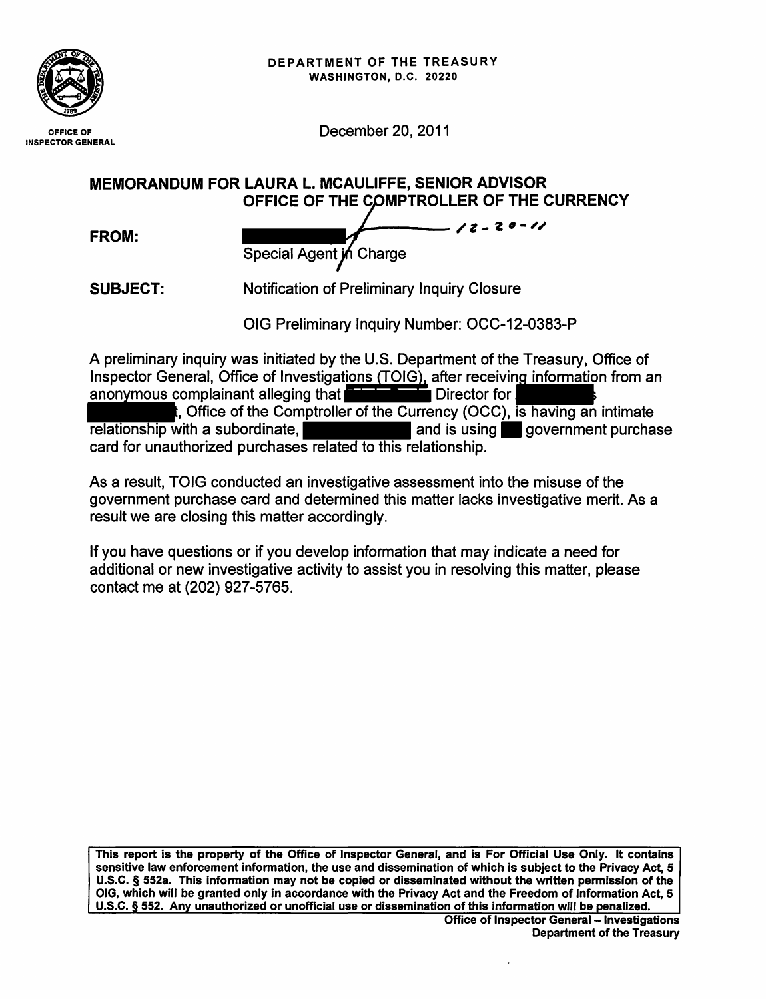

December 20, 2011

MEMORANDUM FOR LAURA L. MCAULIFFE, SENIOR ADVISOR OFFICE OF THE COMPTROLLER OF THE CURRENCY

| FROM: | $-12 - 20 - 11$<br>Special Agent in Charge |  |
|-------|--------------------------------------------|--|
|       |                                            |  |

SUBJECT: Notification of Preliminary Inquiry Closure

OIG Preliminary Inquiry Number: OCC-12-0383-P

A preliminary inquiry was initiated by the U.S. Department of the Treasury, Office of Inspector General, Office of Investigati<u>ons (TOIG),</u> after receivin<u>g informatio</u>n from an anonymous complainant alleging that **the complainity Director for September 2** birector for  $\mathbf{r}$  -  $\mathbf{r}$  birector for  $\mathbf{r}$  -  $\mathbf{r}$  an intimate OIG Preliminary Inquiry Number: OCC-12-0383-P<br>A preliminary inquiry was initiated by the U.S. Department of the Treasury, Office of<br>Inspector General, Office of Investigations (TOIG), after receiving information from an<br>an relationship with a subordinate, **All and is using the government purchase** card for unauthorized purchases related to this relationship.

As a result, TOIG conducted an investigative assessment into the misuse of the government purchase card and determined this matter lacks investigative merit. As a result we are closing this matter accordingly.

If you have questions or if you develop information that may indicate a need for additional or new investigative activity to assist you in resolving this matter, please contact me at (202) 927-5765.

This report is the property of the Office of Inspector General, and is For Official Use Only. It contains sensitive law enforcement information, the use and dissemination of which is subject to the Privacy Act, 5 U.S.C. § 552a. This information may not be copied or disseminated without the written permission of the OIG, which will be granted only in accordance with the Privacy Act and the Freedom of Information Act, 5 U.S.C. § 552. Any unauthorized or unofficial use or dissemination of this information will be penalized.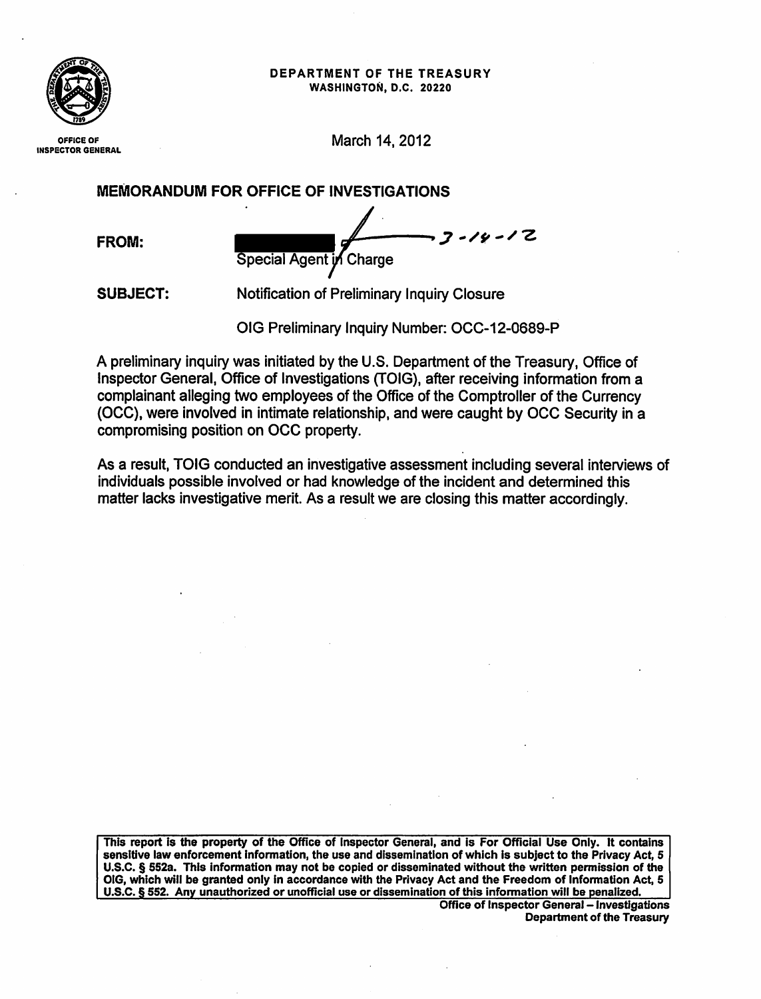#### DEPARTMENT OF THE TREASURY WASHINGTON, D.C. 20220



OFFICE OF INSPECTOR GENERAL March 14, 2012

MEMORANDUM FOR OFFICE OF INVESTIGATIONS

FROM:

 $7 - 14 - 12$ Special Agent in Charge

SUBJECT: Notification of Preliminary Inquiry Closure

OIG Preliminary Inquiry Number: OCC-12-0689-P

A preliminary inquiry was initiated by the U.S. Department of the Treasury, Office of Inspector General, Office of Investigations (TOIG}, after receiving information from a complainant alleging two employees of the Office of the Comptroller of the Currency (OCC), were involved in intimate relationship, and were caught by OCC Security in a compromising position on OCC property.

As a result, TOIG conducted an investigative assessment including several interviews of individuals possible involved or had knowledge of the incident and determined this matter lacks investigative merit. As a result we are closing this matter accordingly.

This report is the property of the Office of Inspector General, and is For Official Use Only. It contains sensitive law enforcement information, the use and dissemination of which is subject to the Privacy Act, 5 U.S.C. § 552a. This information may not be copied or disseminated without the written permission of the OIG, which will be granted only in accordance with the Privacy Act and the Freedom of Information Act, 5 U.S.C. § 552. Any unauthorized or unofficial use or dissemination of this information will be penalized.

**Office of Inspector General - Investigations** Department of the Treasury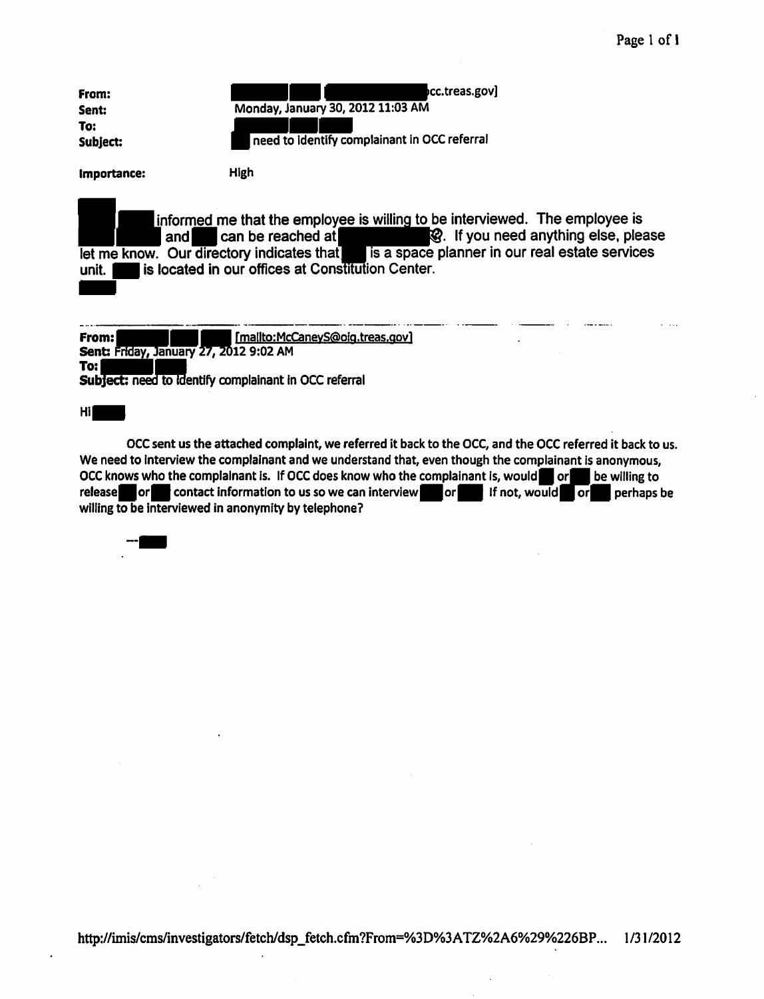| From:<br>Sent:<br>To:<br>Subject: | cc.treas.gov]<br>Monday, January 30, 2012 11:03 AM<br>need to identify complainant in OCC referral |
|-----------------------------------|----------------------------------------------------------------------------------------------------|

Importance: High

informed me that the employee is willing to be interviewed. The employee is and  $\blacksquare$  can be reached at  $\blacksquare$   $\heartsuit$ . If you need anything else, please and **a** can be reached at **a community of the contract of the contract of the contract can be reached at <b>1999**. If you need anything else, please let me know. Our directory indicates that 1s a space planner in our real estate services unit.  $\Box$  is located in our offices at Constitution Center.

------· .. ----·-· ····--·· . ·--- . ·--·· . ·--·-···· From:<br>
Sent: Friday, January 27, 2012 9:02 AM<br>
To: Subject: need to identify complainant in OCC referral

Hi|

OCC sent us the attached complaint, we referred it back to the OCC, and the OCC referred it back to us. We need to Interview the complainant and we understand that, even though the complainant is anonymous, OCC knows who the complainant is. If OCC does know who the complainant is, would or leaveling to release or contact information to us so we can interview. If not, would or perhaps be willing to be interviewed in anonymity by telephone?

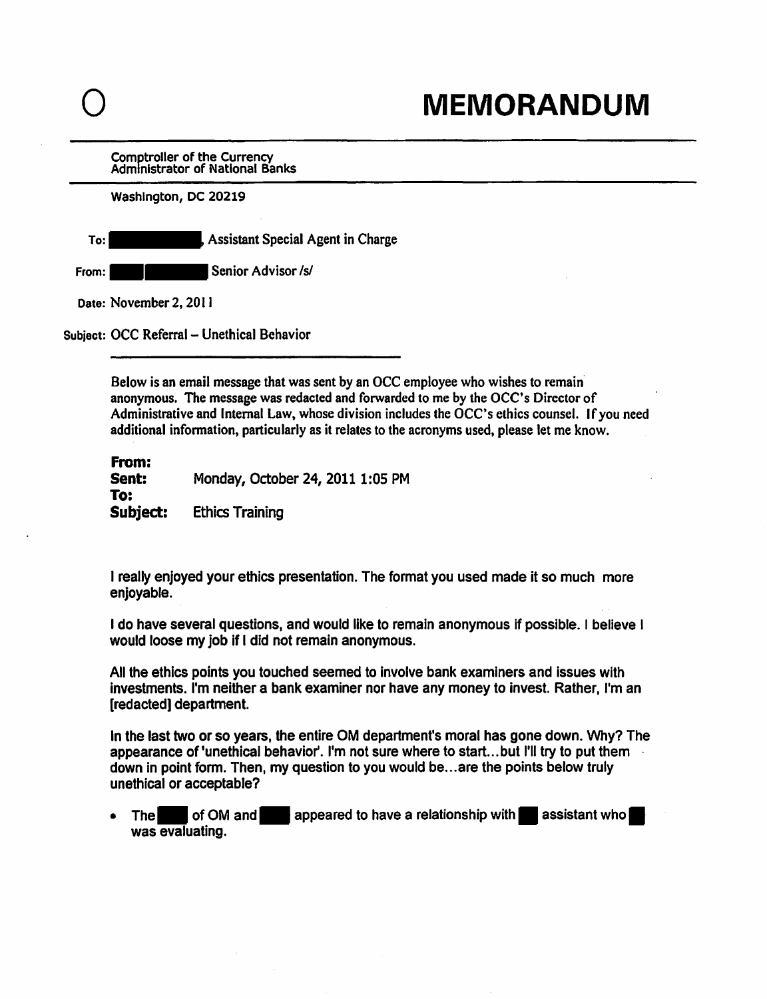Comptroller of the Currency Administrator of National Banks

Washington, DC 20219

To: Assistant Special Agent in Charge From: --Senior Advisor Isl

Date: November 2, 2011

Subject: OCC Referral - Unethical Behavior

Below is an email message that was sent by an OCC employee who wishes to remain· anonymous. The message was redacted and forwarded to me by the OCC' s Director of Administrative and Internal Law, whose division includes the OCC's ethics counsel. If you need additional information, particularly as it relates to the acronyms used, please let me know.

From:<br>Sent: Monday, October 24, 2011 1:05 PM To: Subject: Ethics Training

I really enjoyed your ethics presentation. The format you used made it so much more enjoyable.

I do have several questions, and would like to remain anonymous if possible. I believe I would loose my job if I did not remain anonymous.

All the ethics points you touched seemed to involve bank examiners and issues with investments. I'm neither a bank examiner nor have any money to invest. Rather, I'm an [redacted] department.

In the last two or so years, the entire OM department's moral has gone down. Why? The appearance of 'unethical behavior'. I'm not sure where to start...but I'll try to put them down in point form. Then, my question to you would be ... are the points below truly unethical or acceptable?

The of OM and appeared to have a relationship with assistant who was evaluating.

0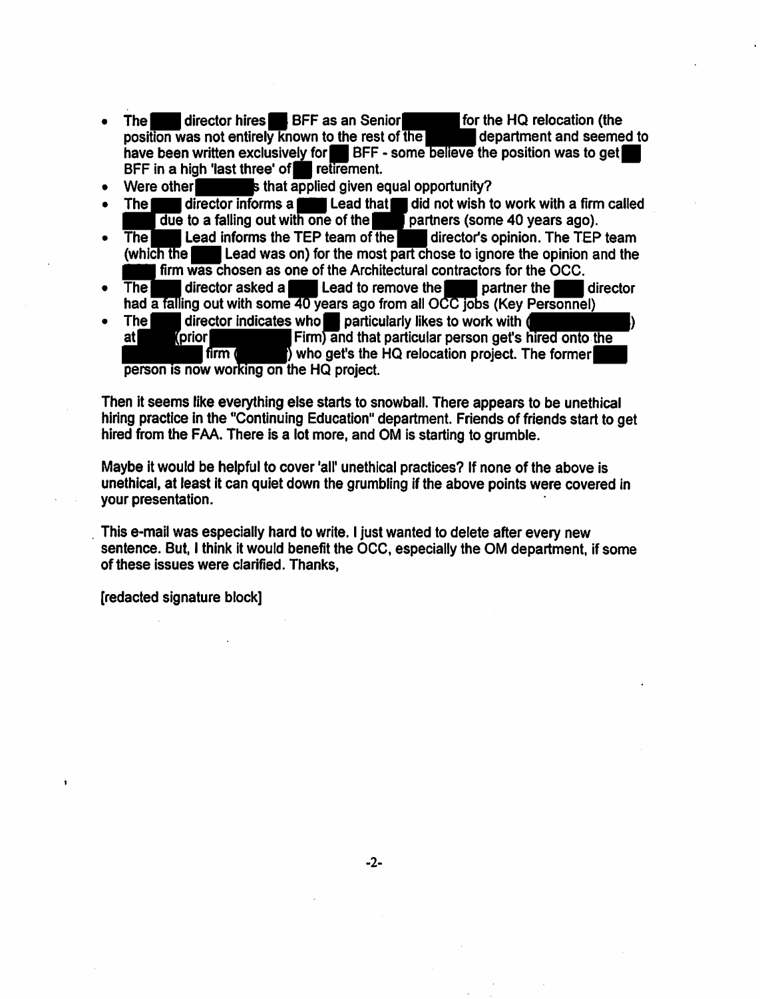- The director hires BFF as an Senior for the HQ relocation (the position was not entirely known to the rest of the department and seemed to position was not entirely known to the rest of the have been written exclusively for  $\blacksquare$  BFF - some believe the position was to get BFF in a high 'last three' of **II retirement.**<br>Were other
- $\bf s$  that applied given equal opportunity?
- The director informs a  $\blacksquare$  Lead that  $\blacksquare$  did not wish to work with a firm called
- The Lead informs the TEP team of the partners (some 40 years ago).<br>
The Lead informs the TEP team of the most part chose to ignore the opinion a<br>
firm was chosen as one of the Architectural contractors for the OCC.<br>
The di The Lead informs the TEP team of the director's opinion. The TEP team (which the Lead was on) for the most part chose to ignore the opinion and the h the **the example and was on**) for the most part chose to ignore the opinion and the firm was chosen as one of the Architectural contractors for the OCC. • The director indicates who Im particularly likes to work with a time called<br>
• The Lead informs the TEP team of the director's opinion. The TEP team<br>
(which the Lead was on) for the most part chose to ignore the opinion
- The  $\blacksquare$  director asked a  $\blacksquare$  Lead to remove the  $\blacksquare$  partner the  $\blacksquare$  director had a falling out with some 40 years ago from all OCC jobs (Key Personnel)<br>The director indicates who particularly likes to work with
- at (prior  $f$ firm  $f$ Firm) and that particular person get's who get's the HQ relocation project. The former the OCC.<br>
'the director<br>
Personnel)<br>
(whired onto the<br>
The former

person is now working on the HQ project.

Then it seems like everything else starts to snowball. There appears to be unethical hiring practice in the °Continuing Education" department. Friends of friends start to get hired from the FAA. There is a lot more, and OM is starting to grumble.

Maybe it would be helpful to cover 'all' unethical practices? If none of the above is unethical, at least it can quiet down the grumbling if the above points were covered in your presentation.

. This e-mail was especially hard to write. I just wanted to delete after every new sentence. But, I think it would benefit the OCC, especially the OM department, if some of these issues were clarified. Thanks,

[redacted signature block]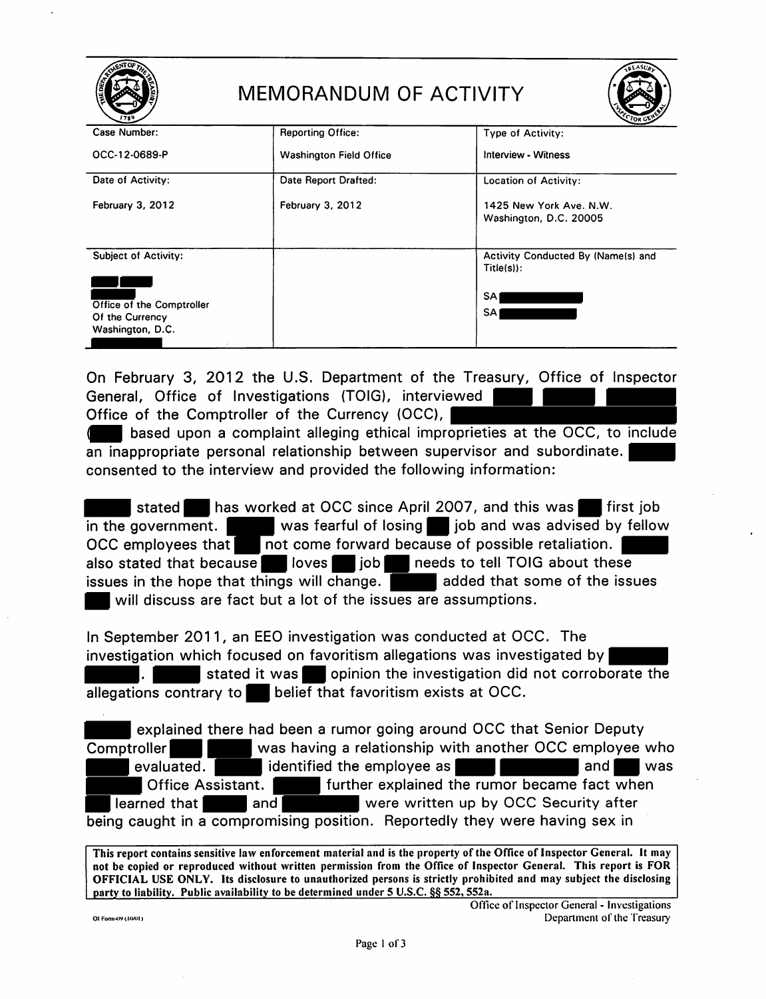|                                                                  | <b>MEMORANDUM OF ACTIVITY</b>  | <b>REASU</b>                                       |
|------------------------------------------------------------------|--------------------------------|----------------------------------------------------|
| Case Number:                                                     | <b>Reporting Office:</b>       | Type of Activity:                                  |
| OCC-12-0689-P                                                    | <b>Washington Field Office</b> | Interview - Witness                                |
| Date of Activity:                                                | Date Report Drafted:           | <b>Location of Activity:</b>                       |
| February 3, 2012                                                 | February 3, 2012               | 1425 New York Ave. N.W.<br>Washington, D.C. 20005  |
| <b>Subject of Activity:</b>                                      |                                | Activity Conducted By (Name(s) and<br>$Title(s)$ : |
| Office of the Comptroller<br>Of the Currency<br>Washington, D.C. |                                | <b>SA</b><br>SA                                    |

On February 3, 2012 the U.S. Department of the Treasury, Office of Inspector General, Office of Investigations (TOIG), interviewed |

Office of the Comptroller of the Currency (OCC),

based upon a complaint alleging ethical improprieties at the OCC, to include an inappropriate personal relationship between supervisor and subordinate. consented to the interview and provided the following information:

stated. has worked at OCC since April 2007, and this was. first job in the government.  $\blacksquare$  was fearful of losing  $\blacksquare$  job and was advised by fellow OCC employees that  $\boxed{\phantom{a}}$  not come forward because of possible retaliation.  $\boxed{\phantom{a} }$ also stated that because loves in job needs to tell TOIG about these issues in the hope that things will change.  $\Box$  added that some of the issues will discuss are fact but a lot of the issues are assumptions.

In September 2011, an EEO investigation was conducted at OCC. The investigation which focused on favoritism allegations was investigated by . **If all initiated it was** opinion the investigation did not corroborate the allegations contrary to **belief** that favoritism exists at OCC.

- explained there had been a rumor going around OCC that Senior Deputy Comptroller **Compulsion** was having a relationship with another OCC employee who evaluated. **The identified the employee as <b>A I A A** and **A** was Office Assistant. **Fighter 1** further explained the rumor became fact when **learned that**  $\blacksquare$  and  $\blacksquare$  were written up by OCC Security after being caught in a compromising position. Reportedly they were having sex in

This report contains sensitive law enforcement material and is the property of the Office of Inspector General. It may not be copied or reproduced without written permission from the Office of Inspector General. This report is FOR OFFICIAL USE ONLY. Its disclosure to unauthorized persons is strictly prohibited and may subject the disclosing party to liability. Public availability to be determined under 5 U.S.C. §§ 552, 552a.

Office of Inspector General - Investigations Of Form 49 (1001) Department of the Treasury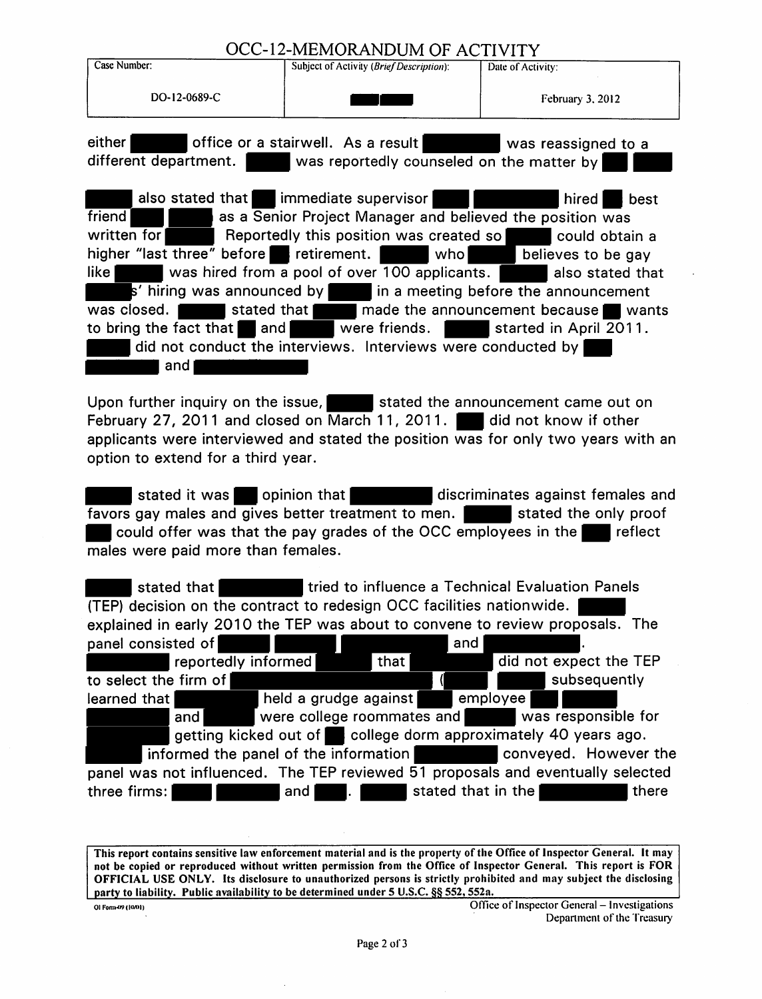### OCC-12-MEMORANDUM OF ACTIVITY

|                                            | OCC-12-MEMORYNDOM OF ACTIVITT                                                          |                                        |
|--------------------------------------------|----------------------------------------------------------------------------------------|----------------------------------------|
| Case Number:                               | Subject of Activity (Brief Description):                                               | Date of Activity:                      |
| DO-12-0689-C                               |                                                                                        | February 3, 2012                       |
| either                                     | office or a stairwell. As a result was reassigned to a                                 |                                        |
| different department.                      | was reportedly counseled on the matter by                                              |                                        |
|                                            | also stated that immediate supervisor                                                  | $\mid$ hired $\mid$<br>best            |
| friend                                     | as a Senior Project Manager and believed the position was                              |                                        |
| written for                                | Reportedly this position was created so                                                | could obtain a                         |
| higher "last three" before retirement.     | who <b>l</b>                                                                           | believes to be gay                     |
| like l                                     | was hired from a pool of over 100 applicants.                                          | also stated that                       |
|                                            | $\mathbf{s}'$ hiring was announced by $\ \cdot\ $ in a meeting before the announcement |                                        |
| $\vert$ stated that $\vert$<br>was closed. |                                                                                        | made the announcement because<br>wants |
| to bring the fact that and                 | were friends.                                                                          | started in April 2011.                 |

to bring the fact that and and were friends.<br>
and did not conduct the interviews. Interviews were conducted by and

Upon further inquiry on the issue,  $\blacksquare$  stated the announcement came out on February 27, 2011 and closed on March 11, 2011. did not know if other

applicants were interviewed and stated the position was for only two years with an

**example it was example that discriminates against females and discriminates against females and** favors gay males and gives better treatment to men. **Figure 1** stated the only proof **• could offer was that the pay grades of the OCC employees in the • reflect** males were paid more than females.

**I** stated that **the influence a Technical Evaluation Panels** (TEP) decision on the contract to redesign OCC facilities nationwide.<br>
explained in early 2010 the TEP was about to convene to review proposals.<br>
panel consisted of reportedly informed that that the select the firm of lear explained in early 2010 the TEP was about to convene to review proposals. The panel consisted of  $\blacksquare$ reportedly informed to select the firm of did not expect the TEP and<br>did not expect the TE<br>subsequently<br>employee and were college roommates and **Figure 10** was responsible for getting kicked out of. college dorm approximately 40 years ago. informed the panel of the information entity conveyed. However the panel was not influenced. The TEP reviewed 51 proposals and eventually selected three firms: **The stated that in the there** there there

This report contains sensitive law enforcement material and is the property of the Office of Inspector General. It may not be copied or reproduced without written permission from the Office of Inspector General. This report is FOR OFFICIAL USE ONLY. Its disclosure to unauthorized persons is strictly prohibited and may subject the disclosing party to liability. Public availability to be determined under 5 U.S.C. §§ 552, 552a.

to bring the fact that  $\blacksquare$  and  $\blacksquare$ 

option to extend for a third year.

Office of Inspector General - Investigations Department of the Treasury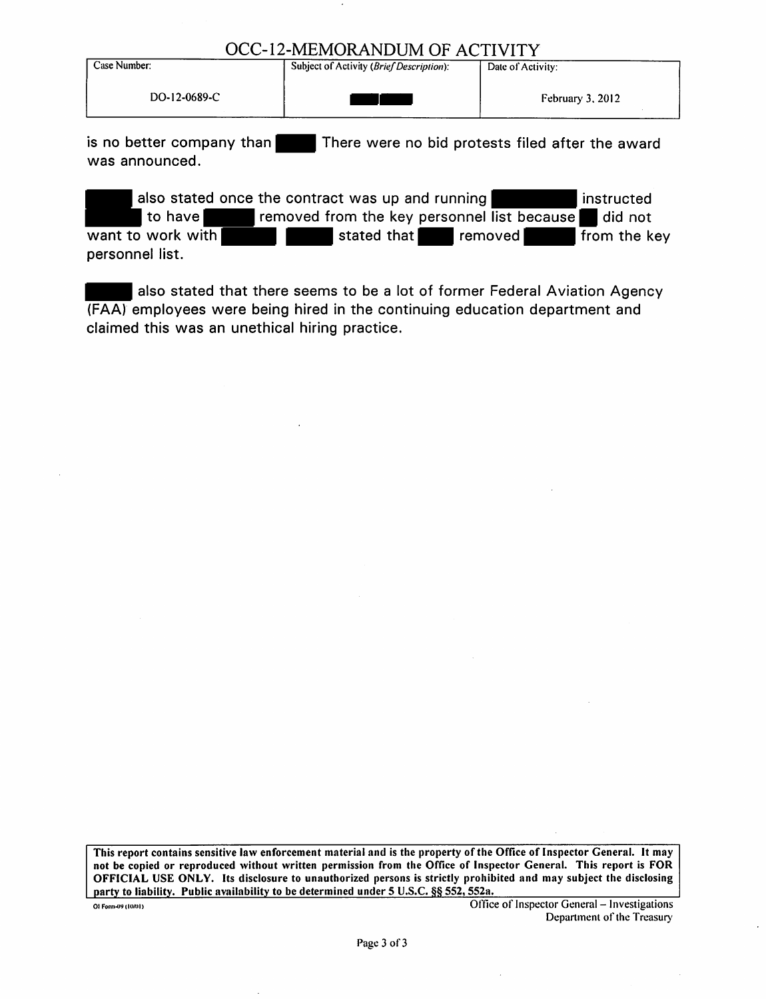#### OCC-12-MEMORANDUM OF ACTIVITY

| Date of Activity:  |
|--------------------|
| February $3, 2012$ |
|                    |

is no better company than There were no bid protests filed after the award was announced.

| also stated once the contract was up and running |             |                                             | <b>I</b> instructed |
|--------------------------------------------------|-------------|---------------------------------------------|---------------------|
| to have                                          |             | removed from the key personnel list because | did not             |
| want to work with                                | stated that | removed                                     | from the key        |
| personnel list.                                  |             |                                             |                     |

also stated that there seems to be a lot of former Federal Aviation Agency (FAA) employees were being hired in the continuing education department and claimed this was an unethical hiring practice.

This report contains sensitive law enforcement material and is the property of the Office of Inspector General. It may not be copied or reproduced without written permission from the Office of Inspector General. This report is FOR OFFICIAL USE ONLY. Its disclosure to unauthorized persons is strictly prohibited and may subject the disclosing party to liability. Public availability to be determined under 5 U.S.C. §§ 552, 552a.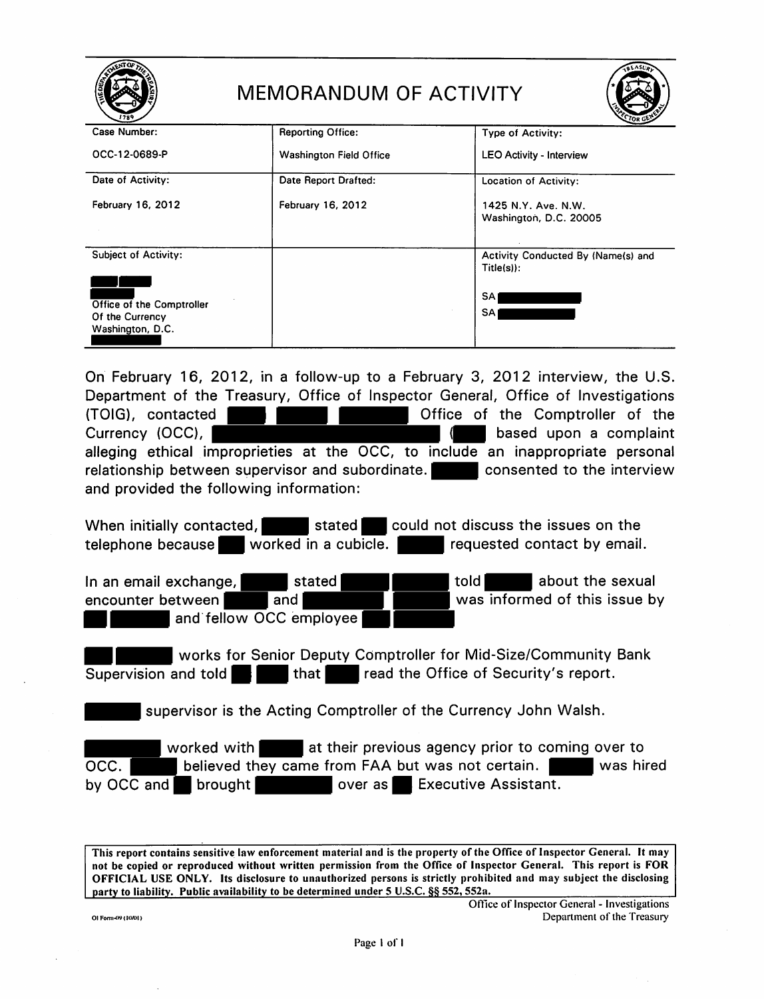|                                                                  | MEMORANDUM OF ACTIVITY         | <b>QLASU</b>                                       |
|------------------------------------------------------------------|--------------------------------|----------------------------------------------------|
| Case Number:                                                     | <b>Reporting Office:</b>       | Type of Activity:                                  |
| OCC-12-0689-P                                                    | <b>Washington Field Office</b> | <b>LEO Activity - Interview</b>                    |
| Date of Activity:                                                | Date Report Drafted:           | <b>Location of Activity:</b>                       |
| February 16, 2012                                                | <b>February 16, 2012</b>       | 1425 N.Y. Ave. N.W.<br>Washington, D.C. 20005      |
| <b>Subject of Activity:</b>                                      |                                | Activity Conducted By (Name(s) and<br>$Title(s)$ : |
| Office of the Comptroller<br>Of the Currency<br>Washington, D.C. |                                | SA.<br><b>SA</b>                                   |

On February 16, 2012, in a follow-up to a February 3, 2012 interview, the U.S. Department of the Treasury, Office of Inspector General, Office of Investigations (TOIG), contacted **Figure 1.1 Constant Constant Constant Constant Constant Constant Constant Constant Constant Constant Constant Constant Constant Constant Constant Constant Constant Constant Constant Constant Constant Con** Department of the Treasury, Office of Inspector defieral, Office of Investigations<br>Currency (OCC), the complaint of the Comptoller of the Currency (OCC), alleging ethical improprieties at the OCC, to include an inappropriate personal relationship between supervisor and subordinate. **The consented to the interview** and provided the following information:

When initially contacted,  $\blacksquare$  stated could not discuss the issues on the telephone because. Worked in a cubicle. The requested contact by email.

The relationship between supervisor and subordinate.<br>
In an email exchange, and stated about the sexual encounter between<br>
The an email exchange, and stated about the sexual encounter between<br>
The about the sexual encounte encounter between and and  $\blacksquare$  and  $\blacksquare$  was informed of this issue by When initially contacted,<br>
telephone because<br>
In an email exchange,<br>
in an email exchange,<br>
encounter between<br>
and fellow OCC employee<br>
and fellow OCC employee<br>
and fellow OCC employee<br>
and fellow OCC employee<br>
and the Sen

**EXECUTE:** works for Senior Deputy Comptroller for Mid-Size/Community Bank<br>Supervision and told **COM** that **COM** read the Office of Security's report. that **Figure 1** read the Office of Security's report.

supervisor is the Acting Comptroller of the Currency John Walsh.

worked with  $\blacksquare$  at their previous agency prior to coming over to OCC. **believed they came from FAA but was not certain.** Was hired by OCC and **brought** brought over as Executive Assistant.

This report contains sensitive law enforcement material and is the property of the Office of Inspector General. It may not be copied or reproduced without written permission from the Office of Inspector General. This report is FOR OFFICIAL USE ONLY. Its disclosure to unauthorized persons is strictly prohibited and may subject the disclosing party to liability. Public availability to be determined under 5 U.S.C. §§ 552, 552a.

Office of Inspector General - Investigations Of Form (19 (10/01) Department of the Treasury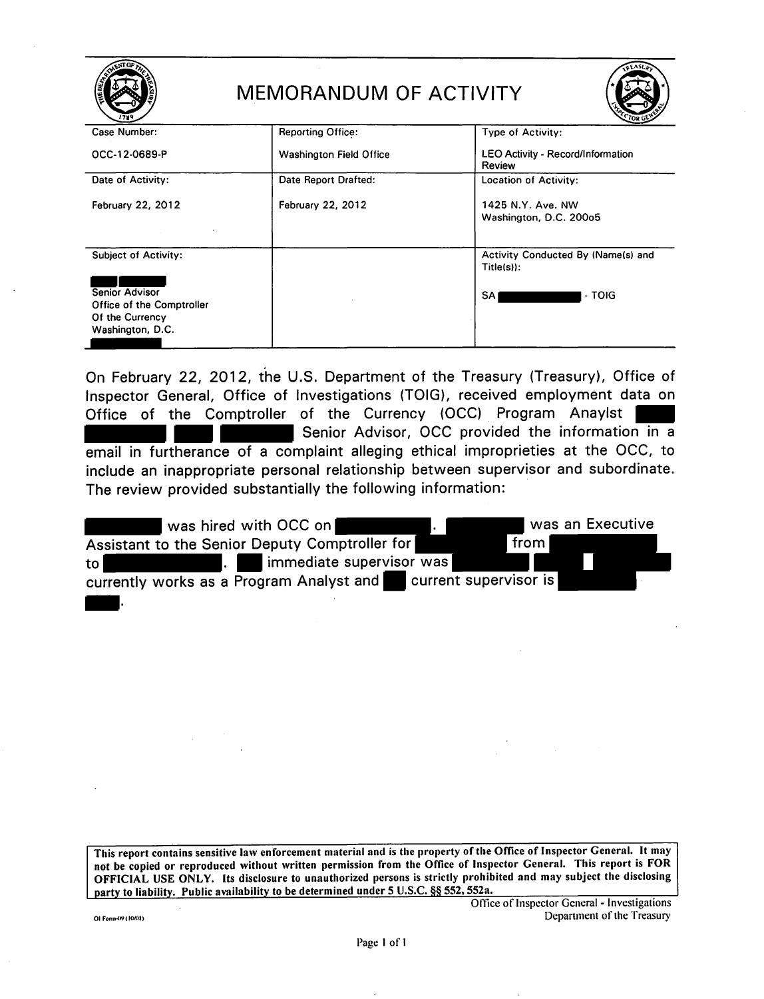|                                                                                    | MEMORANDUM OF ACTIVITY         | <b>SEASLA</b>                                             |
|------------------------------------------------------------------------------------|--------------------------------|-----------------------------------------------------------|
| Case Number:                                                                       | <b>Reporting Office:</b>       | Type of Activity:                                         |
| OCC-12-0689-P                                                                      | <b>Washington Field Office</b> | <b>LEO Activity - Record/Information</b><br><b>Review</b> |
| Date of Activity:                                                                  | Date Report Drafted:           | <b>Location of Activity:</b>                              |
| <b>February 22, 2012</b>                                                           | <b>February 22, 2012</b>       | 1425 N.Y. Ave. NW<br>Washington, D.C. 200o5               |
| <b>Subject of Activity:</b>                                                        |                                | Activity Conducted By (Name(s) and<br>$Title(s)$ :        |
| Senior Advisor<br>Office of the Comptroller<br>Of the Currency<br>Washington, D.C. |                                | <b>SA</b><br>- TOIG                                       |

On February 22, 2012, the U.S. Department of the Treasury (Treasury), Office of Inspector General, Office of Investigations (TOIG), received employment data on Office of the Comptroller of the Currency (OCC) Program Anaylst Senior Advisor, OCC provided the information in a email in furtherance of a complaint alleging ethical improprieties at the OCC, to include an inappropriate personal relationship between supervisor and subordinate. The review provided substantially the following information:

| was hired with OCC on                            | was an Executive      |
|--------------------------------------------------|-----------------------|
| Assistant to the Senior Deputy Comptroller for   | from                  |
| immediate supervisor was<br>$\mathbf{L}$<br>to l |                       |
| currently works as a Program Analyst and         | current supervisor is |
|                                                  |                       |
|                                                  |                       |
|                                                  |                       |

This report contains sensitive law enforcement material and is the property of the Office of Inspector General. It may not be copied or reproduced without written permission from the Office of Inspector General. This report is FOR OFFICIAL USE ONLY. Its disclosure to unauthorized persons is strictly prohibited and may subject the disclosing party to liability. Public availability to be determined under 5 U.S.C. §§ 552, 552a.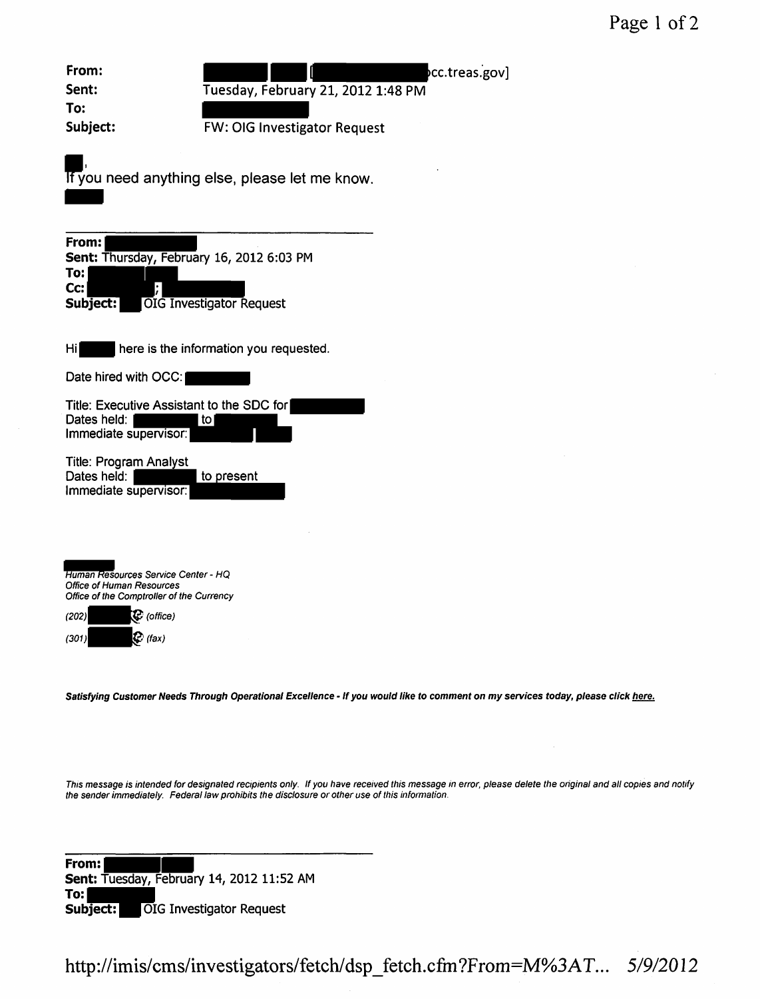Page 1 of 2

| From:                                                                                                                | cc.treas.gov]                                  |
|----------------------------------------------------------------------------------------------------------------------|------------------------------------------------|
| Sent:<br>To:                                                                                                         | Tuesday, February 21, 2012 1:48 PM             |
| Subject:                                                                                                             | <b>FW: OIG Investigator Request</b>            |
|                                                                                                                      | If you need anything else, please let me know. |
| From:<br>Sent: Thursday, February 16, 2012 6:03 PM<br>To:<br>Cc:<br>Subject:                                         | <b>OIG Investigator Request</b>                |
| Ηi                                                                                                                   | here is the information you requested.         |
| Date hired with OCC:                                                                                                 |                                                |
| Title: Executive Assistant to the SDC for<br>Dates held:<br>Immediate supervisor:                                    | l to                                           |
| <b>Title: Program Analyst</b><br>Dates held:<br>Immediate supervisor:                                                | to present                                     |
|                                                                                                                      |                                                |
| Human Resources Service Center - HQ<br><b>Office of Human Resources</b><br>Office of the Comptroller of the Currency |                                                |
| (C (office)<br>(202)                                                                                                 |                                                |

Satisfying Customer Needs Through Operational Excellence - If you would like to comment on my services today, please click here.

This message is intended for designated recipients only. If you have received this message in error, please delete the original and all copies and notify the sender immediately. Federal law prohibits the disclosure or other use of this information.

**From: 2018**<br> **Sent:** Tuesday, February 14, 2012 11:52 AM rrom:<br>Sent: Tuesday,<br>To:<br>Subject: LOI Subject: | OIG Investigator Request

 $(301)$  (fax)

http://imis/cms/investigators/fetch/ dsp \_ fetch.cfm ?From-M%3AT. .. *51912012*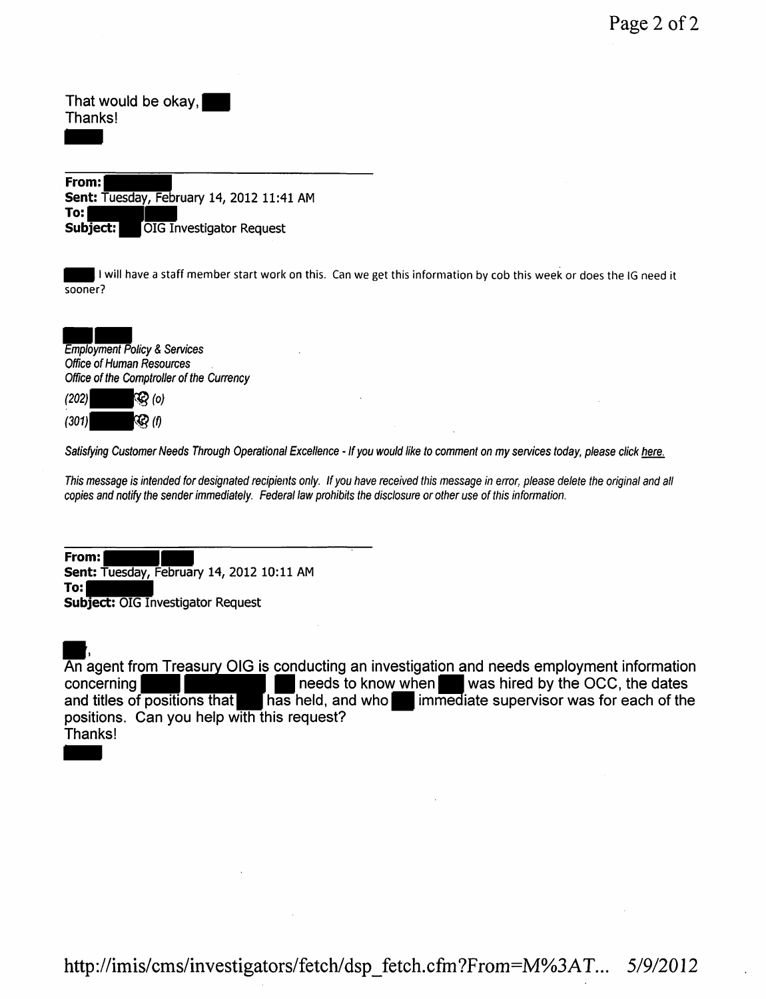That would be okay,<br>Thanks!<br>• From: Thanks!

**From: Sent: Tuesday, February 14, 2012 11:41 AM<br>
<b>To:**<br> **Subject:** OIG Investigator Request **Subject: OIG Investigator Request** 

I will have a staff member start work on this. Can we get this information by cob this week or does the IG need it sooner?

sooner?<br>Employment Pe<br>Office of Huma<br>Office of the Co Employment Policy & Services Office of Human Resources Office of the Comptroller of the Currency

 $(202)$   $\mathbb{Q}$   $(0)$  $(301)$   $\langle \mathcal{Q} \rangle$  (f)

Satisfying Customer Needs Through Operational Excellence - If you would like to comment on my services today, please click here.

This message is intended for designated recipients only. If you have received this message in error, please delete the original and all copies and notify the sender immediately. Federal law prohibits the disclosure or other use of this information.

**From: <u>Contain</u><br>
Sent: Tuesday, February 14, 2012 10:11 AM To: Subject:** OIG Investigator Request

 $\frac{1}{2}$ . An agent from Treasury OIG is conducting an investigation and needs employment information concerning **of the set of the concerning of the dates** and titles of positions that **a** has held, and who **in** immediate supervisor was for each of the  $\sqrt{\frac{1}{n}}$  has held, and who $\blacksquare$  immediate supervisor was for each of the positions. Can you help with this request? - Thanks!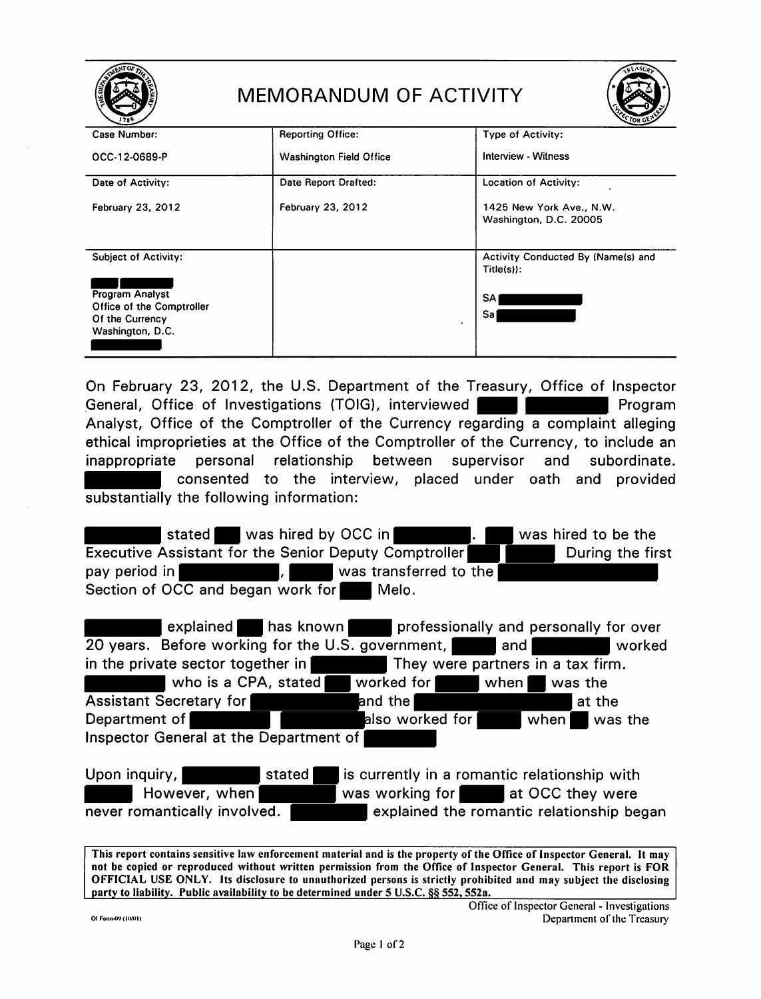|                                              | MEMORANDUM OF ACTIVITY         | <b>QLASUP</b>                                      |
|----------------------------------------------|--------------------------------|----------------------------------------------------|
| Case Number:                                 | <b>Reporting Office:</b>       | Type of Activity:                                  |
| OCC-12-0689-P                                | <b>Washington Field Office</b> | Interview - Witness                                |
| Date of Activity:                            | Date Report Drafted:           | <b>Location of Activity:</b>                       |
| February 23, 2012                            | February 23, 2012              | 1425 New York Ave., N.W.<br>Washington, D.C. 20005 |
| <b>Subject of Activity:</b>                  |                                | Activity Conducted By (Name(s) and<br>$Title(s)$ : |
| Program Analyst                              |                                | <b>SA</b>                                          |
| Office of the Comptroller<br>Of the Currency |                                | Sal                                                |
| Washington, D.C.                             |                                |                                                    |
|                                              |                                |                                                    |

On February 23, 2012, the U.S. Department of the Treasury, Office of Inspector General, Office of Investigations (TOIG), interviewed **Fig. 1.1. Example 2.1.** Program Analyst, Office of the Comptroller of the Currency regarding a complaint alleging ethical improprieties at the Office of the Comptroller of the Currency, to include an inappropriate personal relationship between supervisor and subordinate. consented to the interview, placed under oath and provided substantially the following information:

stated was hired by OCC in **Fig. 1. Solution in the stated to be the stated to be the stated by OCC in the state of the state of the stated by Assistant for the Senior Deputy Comptroller** Executive Assistant for the Senior Deputy Comptroller pay period in **Fig. 1.1. The set of the set of the pay period in Fig. 1.1. The set of the set of the set of the s** Section of OCC and began work for Melo.

| explained                                         | <b>Thas known</b> | professionally and personally for over       |         |  |  |
|---------------------------------------------------|-------------------|----------------------------------------------|---------|--|--|
| 20 years. Before working for the U.S. government, |                   | and                                          | worked  |  |  |
| in the private sector together in                 |                   | They were partners in a tax firm.            |         |  |  |
| who is a CPA, stated                              | worked for        | when                                         | was the |  |  |
| <b>Assistant Secretary for</b>                    | and the l         |                                              | at the  |  |  |
| Department of                                     | also worked for   | $\vert$ when $\vert$                         | was the |  |  |
| Inspector General at the Department of            |                   |                                              |         |  |  |
|                                                   |                   |                                              |         |  |  |
| Upon inquiry,<br>stated                           |                   | is currently in a romantic relationship with |         |  |  |

Upon inquiry, stated is currently in a romantic relationship with However, when was working for at OCC they were never romantically involved. **The real explained the romantic relationship began** 

This report contains sensitive law enforcement material and is the property of the Office of Inspector General. It may not be copied or reproduced without written permission from the Office of Inspector General. This report is FOR OFFICIAL USE ONLY. Its disclosure to unauthorized persons is strictly prohibited and may subject the disclosing party to liability. Public availability to be determined under 5 U.S.C. §§ 552, 552a.

Office of Inspector General - Investigations Of Form-09 (1001) **Department of the Treasury**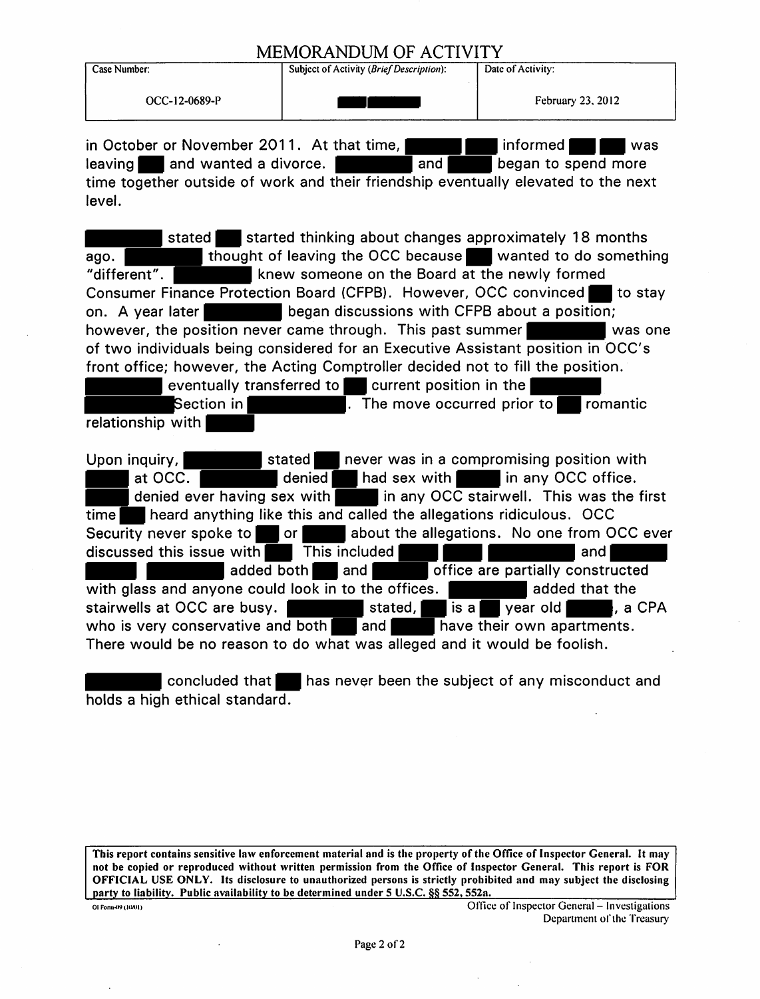## MEMORANDUM OF ACTIVITY<br>Subject of Activity (*Brief Description*): Date of Activity:

| Case Number: |
|--------------|
|--------------|

**Subject of Activity** *(Brief Description)*:

 $\begin{array}{|l|l|}\n\hline\n\text{Subject of Activity (Brie/Description):} \quad\text{Date of Activity:} \quad\text{Date of Activity:} \quad\text{Date of Activity:} \quad\text{Date of Activity:} \quad\text{Date of Activity:} \quad\text{Date of Activity:} \quad\text{Date of Activity:} \quad\text{Date of activity:} \quad\text{Date of activity:} \quad\text{Date of activity:} \quad\text{Date of activity:} \quad\text{Date of activity:} \quad\text{Date of activity:} \quad\text{Date of activity:} \quad\text{Date of activity:} \quad\text{Date of activity:} \quad\text{Date of activity:} \quad\text{Date of activity:} \quad\text{Date of activity:} \$ MEMORANDUM OF ACTIVITY<br>
Subject of Activity (Brief Description): Date of Activity:<br>
OCC-12-0689-P<br>
February 23, 2012<br>
February 23, 2012<br>
In October or November 2011. At that time, and proformed the spend more<br>
eaving  $\frac{1}{2}$  and wanted a divorce.  $\frac{1}{2}$  and  $\frac{1}{2}$  began to spend more time together outside of work and their friendship eventually elevated to the next level.

**stated Exercise is tarted thinking about changes approximately 18 months** I thought of leaving the OCC because. Wanted to do something ago. "different".  $\blacksquare$  knew someone on the Board at the newly formed Consumer Finance Protection Board (CFPB). However, OCC convinced to stay on. A year later began discussions with CFPB about a position; however, the position never came through. This past summer of two individuals being considered for an Executive Assistant position in OCC' s front office; however, the Acting Comptroller decided not to fill the position. eventually transferred to current position in the  $\blacksquare$ <br>Section in  $\blacksquare$  . The move occurred prior  $\overline{a}$ . The move occurred prior to  $\overline{a}$  romantic relationship with Upon inquiry, stated and stated a never was in a compromising position with  $\overline{\phantom{a}}$  at OCC.  $\overline{\phantom{a}}$  denied had sex with  $\overline{\phantom{a}}$  in any OCC office. denied ever having sex with  $\overline{\bullet}$  in any OCC stairwell. This was the first  $time$  heard anything like this and called the allegations ridiculous. OCC Security never spoke to or or about the allegations. No one from OCC ever<br>discussed this issue with This included **THE COLL BOOT** and discussed this issue with This included **Alternative Constructed** and **The Solution of Solution Constructed** and **The Solution Constructed** and **The Solution Constructed** added both **and** with glass and anyone could look in to the offices. added that the stairwells at OCC are busy. - stated,• is a II year old-' a CPA stairwells at OCC are busy.<br>• who is very conservative and both and **the land of the have their own apartments.** 

There would be no reason to do what was alleged and it would be foolish.

concluded that **has never been the subject of any misconduct and** holds a high ethical standard.

This report contains sensitive law enforcement material and is the property of the Office of Inspector General. It may not be copied or reproduced without written permission from the Office of Inspector General. This report is FOR OFFICIAL USE ONLY. Its disclosure to unauthorized persons is strictly prohibited and may subject the disclosing party to liability. Public availability to be determined under 5 U.S.C. §§ 552, 552a.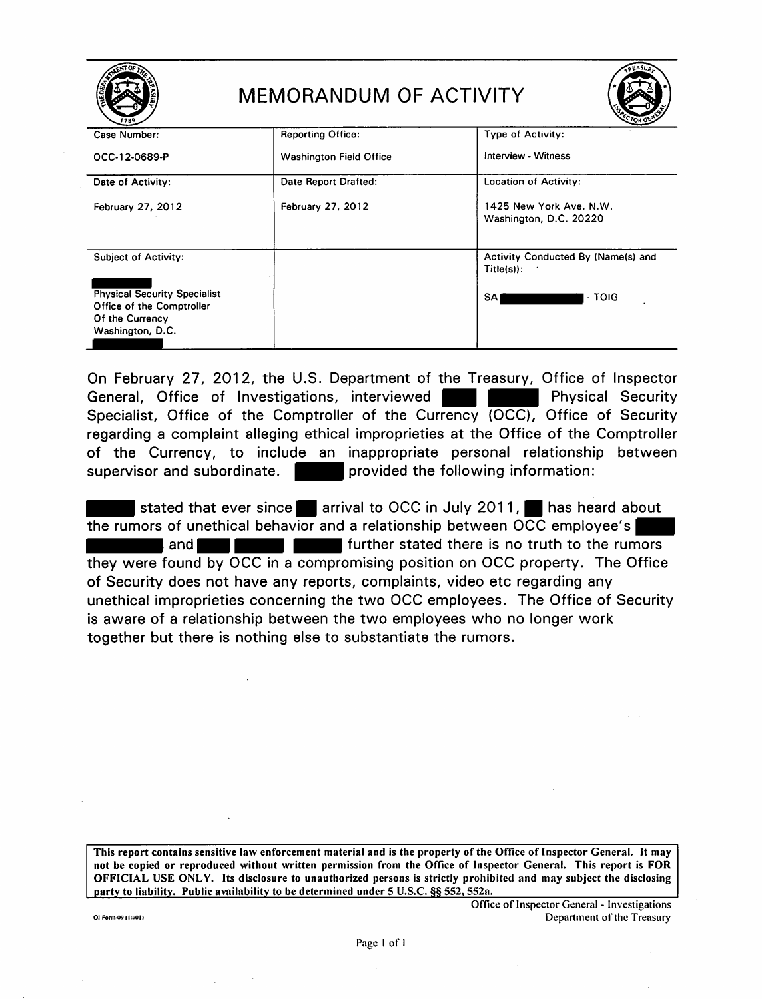| <b>REASUR</b><br><b>MEMORANDUM OF ACTIVITY</b>                                                          |                                |                                                    |  |  |
|---------------------------------------------------------------------------------------------------------|--------------------------------|----------------------------------------------------|--|--|
| Case Number:                                                                                            | <b>Reporting Office:</b>       | Type of Activity:                                  |  |  |
| OCC-12-0689-P                                                                                           | <b>Washington Field Office</b> | Interview - Witness                                |  |  |
| Date of Activity:                                                                                       | Date Report Drafted:           | Location of Activity:                              |  |  |
| February 27, 2012                                                                                       | <b>February 27, 2012</b>       | 1425 New York Ave. N.W.<br>Washington, D.C. 20220  |  |  |
| <b>Subject of Activity:</b>                                                                             |                                | Activity Conducted By (Name(s) and<br>$Title(s)$ : |  |  |
| <b>Physical Security Specialist</b><br>Office of the Comptroller<br>Of the Currency<br>Washington, D.C. |                                | <b>SAI</b><br>- TOIG                               |  |  |

On February 27, 2012, the U.S. Department of the Treasury, Office of Inspector General, Office of Investigations, interviewed **Fig. 1. Physical Security** Specialist, Office of the Comptroller of the Currency (OCC), Office of Security regarding a complaint alleging ethical improprieties at the Office of the Comptroller of the Currency, to include an inappropriate personal relationship between supervisor and subordinate.  $\Box$  provided the following information:

stated that ever since **11** arrival to OCC in July 2011, **11** has heard about the rumors of unethical behavior and a relationship between  $\overline{OCC}$  employee's  $\blacksquare$  and  $\blacksquare$   $\blacksquare$   $\blacksquare$  further stated there is no truth to the rumors they were found by OCC in a compromising position on OCC property. The Office of Security does not have any reports, complaints, video etc regarding any unethical improprieties concerning the two OCC employees. The Office of Security is aware of a relationship between the two employees who no longer work together but there is nothing else to substantiate the rumors.

This report contains sensitive law enforcement material and is the property of the Office of Inspector General. It may not be copied or reproduced without written permission from the Office of Inspector General. This report is FOR OFFICIAL USE ONLY. Its disclosure to unauthorized persons is strictly prohibited and may subject the disclosing party to liability. Public availability to be determined under 5 U.S.C. §§ 552, 552a.

Office of Inspector General - Investigations Of Form-(9) (1001) Department of the Treasury